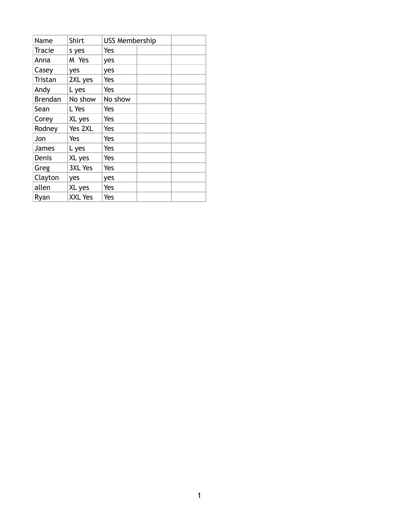| Name           | Shirt          | <b>USS Membership</b> |  |  |
|----------------|----------------|-----------------------|--|--|
| Tracie         | s yes          | Yes                   |  |  |
| Anna           | M Yes          | yes                   |  |  |
| Casey          | yes            | yes                   |  |  |
| Tristan        | 2XL yes        | Yes                   |  |  |
| Andy           | L yes          | Yes                   |  |  |
| <b>Brendan</b> | No show        | No show               |  |  |
| Sean           | L Yes          | Yes                   |  |  |
| Corey          | XL yes         | Yes                   |  |  |
| Rodney         | Yes 2XL        | Yes                   |  |  |
| Jon            | Yes            | Yes                   |  |  |
| James          | L yes          | Yes                   |  |  |
| Denis          | XL yes         | Yes                   |  |  |
| Greg           | <b>3XL Yes</b> | Yes                   |  |  |
| Clayton        | yes            | yes                   |  |  |
| allen          | XL yes         | Yes                   |  |  |
| Ryan           | XXL Yes        | Yes                   |  |  |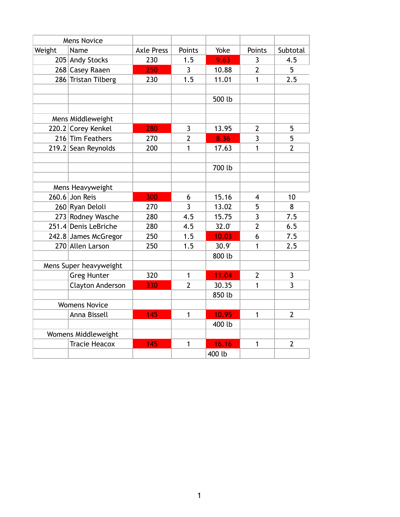| <b>Mens Novice</b>   |                         |                   |                |        |                |                |
|----------------------|-------------------------|-------------------|----------------|--------|----------------|----------------|
| Weight               | Name                    | <b>Axle Press</b> | Points         | Yoke   | Points         | Subtotal       |
|                      | 205 Andy Stocks         | 230               | 1.5            | 9.63   | 3              | 4.5            |
|                      | 268 Casey Raaen         | 250               | $\overline{3}$ | 10.88  | $\overline{2}$ | 5              |
|                      | 286 Tristan Tilberg     | 230               | 1.5            | 11.01  | 1              | 2.5            |
|                      |                         |                   |                |        |                |                |
|                      |                         |                   |                | 500 lb |                |                |
|                      |                         |                   |                |        |                |                |
|                      | Mens Middleweight       |                   |                |        |                |                |
|                      | 220.2 Corey Kenkel      | 280               | $\overline{3}$ | 13.95  | $\overline{2}$ | 5              |
|                      | 216 Tim Feathers        | 270               | $\overline{2}$ | 8.36   | 3              | 5              |
|                      | 219.2 Sean Reynolds     | 200               | 1              | 17.63  | $\mathbf{1}$   | $\overline{2}$ |
|                      |                         |                   |                |        |                |                |
|                      |                         |                   |                | 700 lb |                |                |
|                      |                         |                   |                |        |                |                |
|                      | Mens Heavyweight        |                   |                |        |                |                |
|                      | 260.6 Jon Reis          | 300               | 6              | 15.16  | 4              | 10             |
|                      | 260 Ryan Deloli         | 270               | $\overline{3}$ | 13.02  | 5              | 8              |
|                      | 273 Rodney Wasche       | 280               | 4.5            | 15.75  | $\overline{3}$ | 7.5            |
|                      | 251.4 Denis LeBriche    | 280               | 4.5            | 32.0'  | $\overline{2}$ | 6.5            |
|                      | 242.8 James McGregor    | 250               | 1.5            | 10.03  | 6              | 7.5            |
|                      | 270 Allen Larson        | 250               | 1.5            | 30.9'  | 1              | 2.5            |
|                      |                         |                   |                | 800 lb |                |                |
|                      | Mens Super heavyweight  |                   |                |        |                |                |
|                      | <b>Greg Hunter</b>      | 320               | $\mathbf{1}$   | 11.04  | $\overline{2}$ | 3              |
|                      | <b>Clayton Anderson</b> | 330               | $\overline{2}$ | 30.35  | 1              | 3              |
|                      |                         |                   |                | 850 lb |                |                |
| <b>Womens Novice</b> |                         |                   |                |        |                |                |
|                      | Anna Bissell            | 145               | $\mathbf{1}$   | 10.95  | $\mathbf{1}$   | $\overline{2}$ |
|                      |                         |                   |                | 400 lb |                |                |
| Womens Middleweight  |                         |                   |                |        |                |                |
|                      | <b>Tracie Heacox</b>    | 145               | $\mathbf{1}$   | 16.16  | 1              | $\overline{2}$ |
|                      |                         |                   |                | 400 lb |                |                |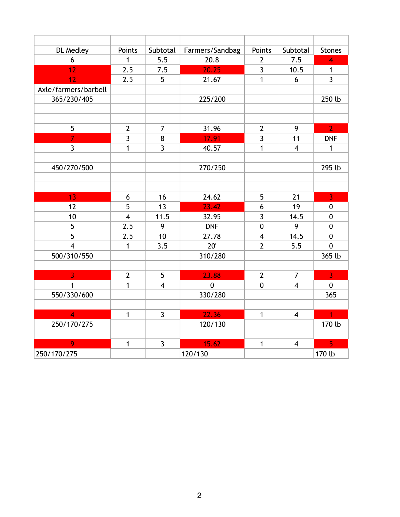| DL Medley            | Points         | Subtotal       | Farmers/Sandbag | Points                  | Subtotal                | <b>Stones</b>           |
|----------------------|----------------|----------------|-----------------|-------------------------|-------------------------|-------------------------|
| 6                    | $\mathbf{1}$   | 5.5            | 20.8            | $\overline{2}$          | 7.5                     | $\overline{4}$          |
| 12                   | 2.5            | 7.5            | 20.25           | 3                       | 10.5                    | $\mathbf{1}$            |
| 12                   | 2.5            | 5              | 21.67           | $\mathbf{1}$            | 6                       | $\overline{3}$          |
| Axle/farmers/barbell |                |                |                 |                         |                         |                         |
| 365/230/405          |                |                | 225/200         |                         |                         | 250 lb                  |
|                      |                |                |                 |                         |                         |                         |
|                      |                |                |                 |                         |                         |                         |
| 5                    | $\overline{2}$ | $\overline{7}$ | 31.96           | $\overline{2}$          | 9                       | $\overline{2}$          |
| $\overline{7}$       | $\overline{3}$ | 8              | 17.91           | 3                       | 11                      | <b>DNF</b>              |
| $\overline{3}$       | $\mathbf{1}$   | $\overline{3}$ | 40.57           | $\mathbf{1}$            | $\overline{\mathbf{4}}$ | $\mathbf{1}$            |
|                      |                |                |                 |                         |                         |                         |
| 450/270/500          |                |                | 270/250         |                         |                         | 295 lb                  |
|                      |                |                |                 |                         |                         |                         |
|                      |                |                |                 |                         |                         |                         |
| 13                   | 6              | 16             | 24.62           | 5                       | 21                      | $\overline{\mathbf{3}}$ |
| 12                   | 5              | 13             | 23.42           | 6                       | 19                      | $\pmb{0}$               |
| 10                   | $\overline{4}$ | 11.5           | 32.95           | $\overline{3}$          | 14.5                    | $\mathbf 0$             |
| 5                    | 2.5            | 9              | <b>DNF</b>      | 0                       | 9                       | $\mathbf 0$             |
| 5                    | 2.5            | 10             | 27.78           | $\overline{\mathbf{4}}$ | 14.5                    | $\mathbf 0$             |
| $\overline{4}$       | $\mathbf{1}$   | 3.5            | 20'             | $\overline{2}$          | 5.5                     | $\mathbf 0$             |
| 500/310/550          |                |                | 310/280         |                         |                         | 365 lb                  |
|                      |                |                |                 |                         |                         |                         |
| $\overline{3}$       | $\overline{2}$ | 5              | 23.88           | $\overline{2}$          | $\overline{7}$          | $\overline{3}$          |
| $\mathbf{1}$         | $\mathbf{1}$   | $\overline{4}$ | $\mathbf 0$     | $\mathbf 0$             | $\overline{\mathbf{4}}$ | $\mathbf 0$             |
| 550/330/600          |                |                | 330/280         |                         |                         | 365                     |
|                      |                |                |                 |                         |                         |                         |
| $\overline{4}$       | $\mathbf{1}$   | $\overline{3}$ | 22.36           | $\mathbf{1}$            | $\overline{4}$          | $\overline{1}$          |
| 250/170/275          |                |                | 120/130         |                         |                         | 170 lb                  |
|                      |                |                |                 |                         |                         |                         |
| $\overline{Q}$       | 1              | $\overline{3}$ | 15.62           | 1                       | $\overline{\mathbf{4}}$ | $\overline{5}$          |
| 250/170/275          |                |                | 120/130         |                         |                         | 170 lb                  |